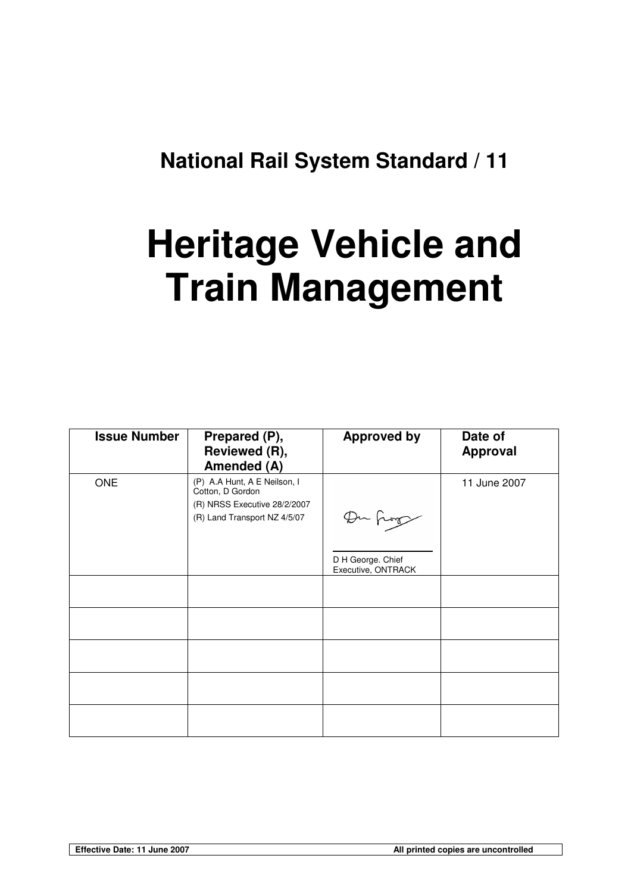## **National Rail System Standard / 11**

# **Heritage Vehicle and Train Management**

| <b>Issue Number</b> | Prepared (P),<br>Reviewed (R),<br>Amended (A)                                                                    | <b>Approved by</b>                      | Date of<br><b>Approval</b> |
|---------------------|------------------------------------------------------------------------------------------------------------------|-----------------------------------------|----------------------------|
| <b>ONE</b>          | (P) A.A Hunt, A E Neilson, I<br>Cotton, D Gordon<br>(R) NRSS Executive 28/2/2007<br>(R) Land Transport NZ 4/5/07 | Du frog                                 | 11 June 2007               |
|                     |                                                                                                                  | D H George. Chief<br>Executive, ONTRACK |                            |
|                     |                                                                                                                  |                                         |                            |
|                     |                                                                                                                  |                                         |                            |
|                     |                                                                                                                  |                                         |                            |
|                     |                                                                                                                  |                                         |                            |
|                     |                                                                                                                  |                                         |                            |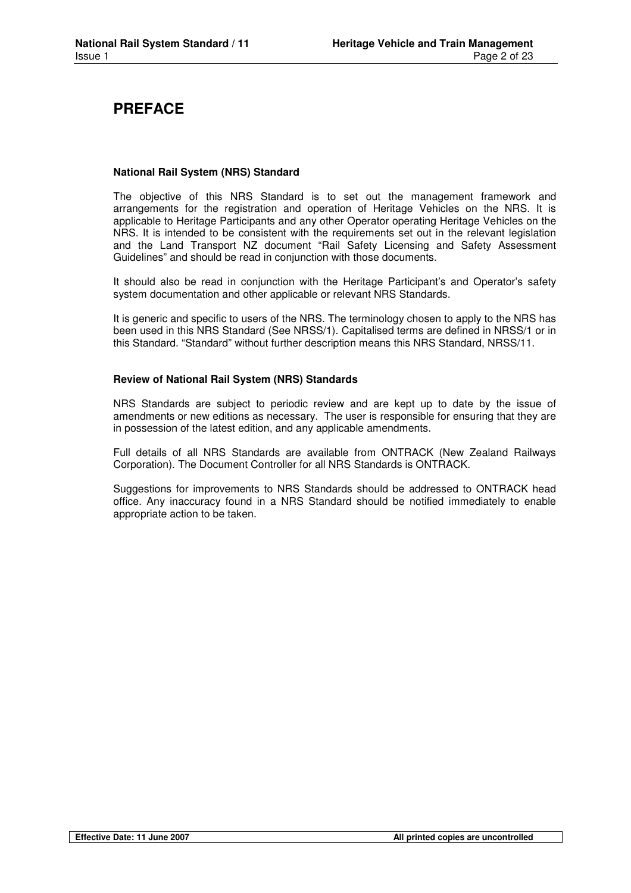## **PREFACE**

#### **National Rail System (NRS) Standard**

The objective of this NRS Standard is to set out the management framework and arrangements for the registration and operation of Heritage Vehicles on the NRS. It is applicable to Heritage Participants and any other Operator operating Heritage Vehicles on the NRS. It is intended to be consistent with the requirements set out in the relevant legislation and the Land Transport NZ document "Rail Safety Licensing and Safety Assessment Guidelines" and should be read in conjunction with those documents.

It should also be read in conjunction with the Heritage Participant's and Operator's safety system documentation and other applicable or relevant NRS Standards.

It is generic and specific to users of the NRS. The terminology chosen to apply to the NRS has been used in this NRS Standard (See NRSS/1). Capitalised terms are defined in NRSS/1 or in this Standard. "Standard" without further description means this NRS Standard, NRSS/11.

#### **Review of National Rail System (NRS) Standards**

NRS Standards are subject to periodic review and are kept up to date by the issue of amendments or new editions as necessary. The user is responsible for ensuring that they are in possession of the latest edition, and any applicable amendments.

Full details of all NRS Standards are available from ONTRACK (New Zealand Railways Corporation). The Document Controller for all NRS Standards is ONTRACK.

Suggestions for improvements to NRS Standards should be addressed to ONTRACK head office. Any inaccuracy found in a NRS Standard should be notified immediately to enable appropriate action to be taken.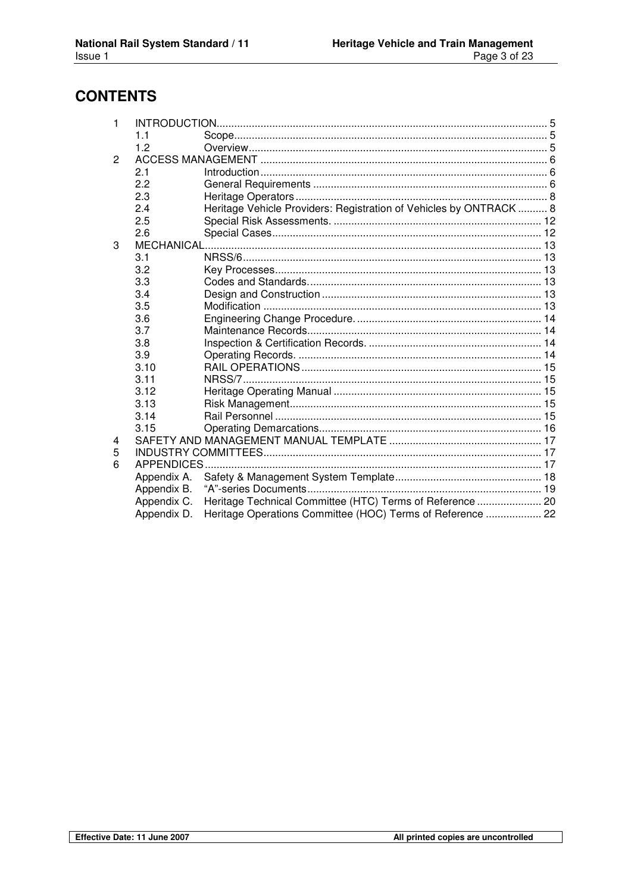## **CONTENTS**

| 1 |             |                                                                    |  |
|---|-------------|--------------------------------------------------------------------|--|
|   | 11          |                                                                    |  |
|   | 1.2         |                                                                    |  |
| 2 |             |                                                                    |  |
|   | 2.1         |                                                                    |  |
|   | 2.2         |                                                                    |  |
|   | 2.3         |                                                                    |  |
|   | 2.4         | Heritage Vehicle Providers: Registration of Vehicles by ONTRACK  8 |  |
|   | 2.5         |                                                                    |  |
|   | 2.6         |                                                                    |  |
| 3 |             |                                                                    |  |
|   | 3.1         |                                                                    |  |
|   | 3.2         |                                                                    |  |
|   | 3.3         |                                                                    |  |
|   | 3.4         |                                                                    |  |
|   | 3.5         |                                                                    |  |
|   | 3.6         |                                                                    |  |
|   | 3.7         |                                                                    |  |
|   | 3.8         |                                                                    |  |
|   | 3.9         |                                                                    |  |
|   | 3.10        |                                                                    |  |
|   | 3.11        |                                                                    |  |
|   | 3.12        |                                                                    |  |
|   | 3.13        |                                                                    |  |
|   | 3.14        |                                                                    |  |
|   | 3.15        |                                                                    |  |
| 4 |             |                                                                    |  |
| 5 |             |                                                                    |  |
| 6 | APPENDICES. |                                                                    |  |
|   | Appendix A. |                                                                    |  |
|   | Appendix B. |                                                                    |  |
|   | Appendix C. | Heritage Technical Committee (HTC) Terms of Reference  20          |  |
|   | Appendix D. | Heritage Operations Committee (HOC) Terms of Reference  22         |  |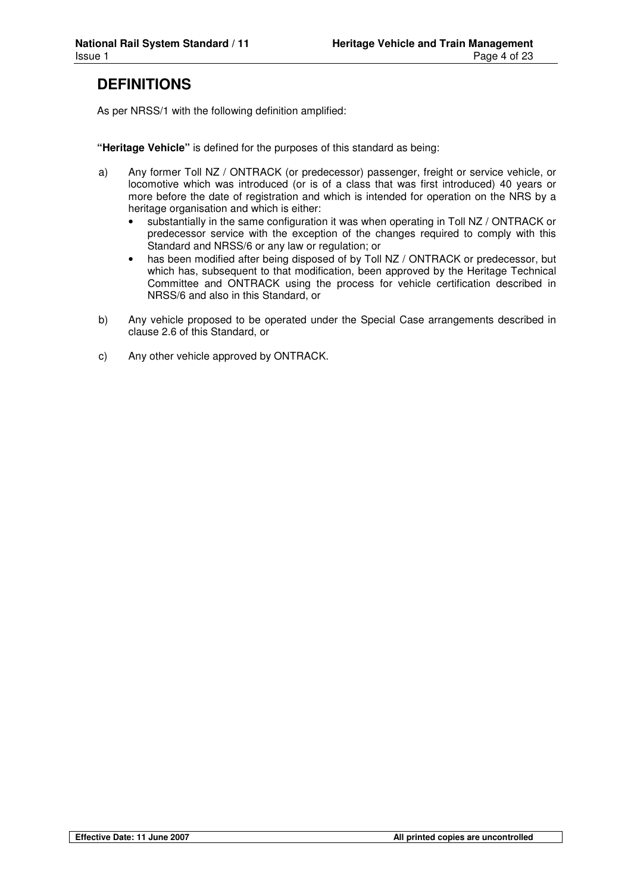## **DEFINITIONS**

As per NRSS/1 with the following definition amplified:

**"Heritage Vehicle"** is defined for the purposes of this standard as being:

- a) Any former Toll NZ / ONTRACK (or predecessor) passenger, freight or service vehicle, or locomotive which was introduced (or is of a class that was first introduced) 40 years or more before the date of registration and which is intended for operation on the NRS by a heritage organisation and which is either:
	- substantially in the same configuration it was when operating in Toll NZ / ONTRACK or predecessor service with the exception of the changes required to comply with this Standard and NRSS/6 or any law or regulation; or
	- has been modified after being disposed of by Toll NZ / ONTRACK or predecessor, but which has, subsequent to that modification, been approved by the Heritage Technical Committee and ONTRACK using the process for vehicle certification described in NRSS/6 and also in this Standard, or
- b) Any vehicle proposed to be operated under the Special Case arrangements described in clause 2.6 of this Standard, or
- c) Any other vehicle approved by ONTRACK.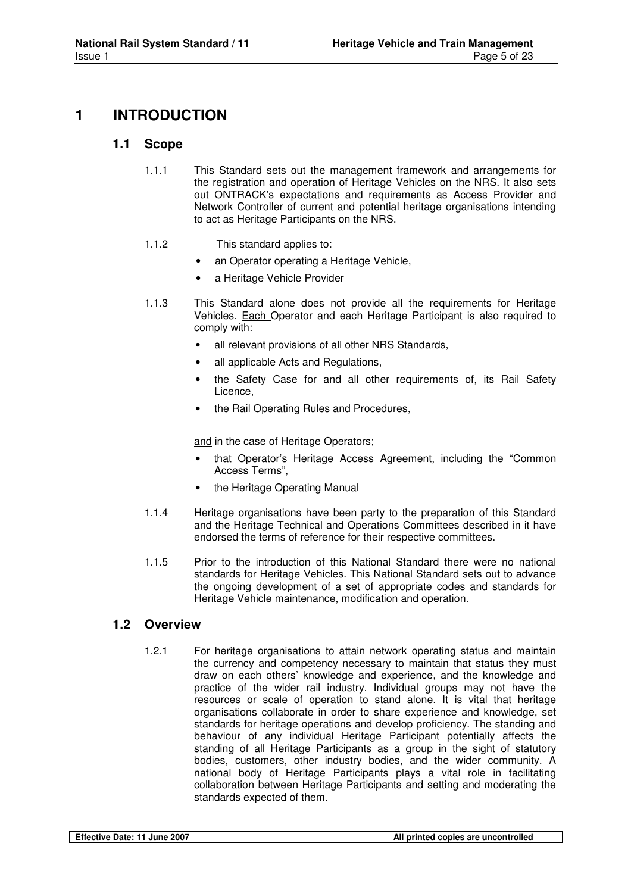## **1 INTRODUCTION**

#### **1.1 Scope**

- 1.1.1 This Standard sets out the management framework and arrangements for the registration and operation of Heritage Vehicles on the NRS. It also sets out ONTRACK's expectations and requirements as Access Provider and Network Controller of current and potential heritage organisations intending to act as Heritage Participants on the NRS.
- 1.1.2 This standard applies to:
	- an Operator operating a Heritage Vehicle,
	- a Heritage Vehicle Provider
- 1.1.3 This Standard alone does not provide all the requirements for Heritage Vehicles. Each Operator and each Heritage Participant is also required to comply with:
	- all relevant provisions of all other NRS Standards,
	- all applicable Acts and Regulations,
	- the Safety Case for and all other requirements of, its Rail Safety Licence,
	- the Rail Operating Rules and Procedures,

and in the case of Heritage Operators;

- that Operator's Heritage Access Agreement, including the "Common Access Terms",
- the Heritage Operating Manual
- 1.1.4 Heritage organisations have been party to the preparation of this Standard and the Heritage Technical and Operations Committees described in it have endorsed the terms of reference for their respective committees.
- 1.1.5 Prior to the introduction of this National Standard there were no national standards for Heritage Vehicles. This National Standard sets out to advance the ongoing development of a set of appropriate codes and standards for Heritage Vehicle maintenance, modification and operation.

#### **1.2 Overview**

1.2.1 For heritage organisations to attain network operating status and maintain the currency and competency necessary to maintain that status they must draw on each others' knowledge and experience, and the knowledge and practice of the wider rail industry. Individual groups may not have the resources or scale of operation to stand alone. It is vital that heritage organisations collaborate in order to share experience and knowledge, set standards for heritage operations and develop proficiency. The standing and behaviour of any individual Heritage Participant potentially affects the standing of all Heritage Participants as a group in the sight of statutory bodies, customers, other industry bodies, and the wider community. A national body of Heritage Participants plays a vital role in facilitating collaboration between Heritage Participants and setting and moderating the standards expected of them.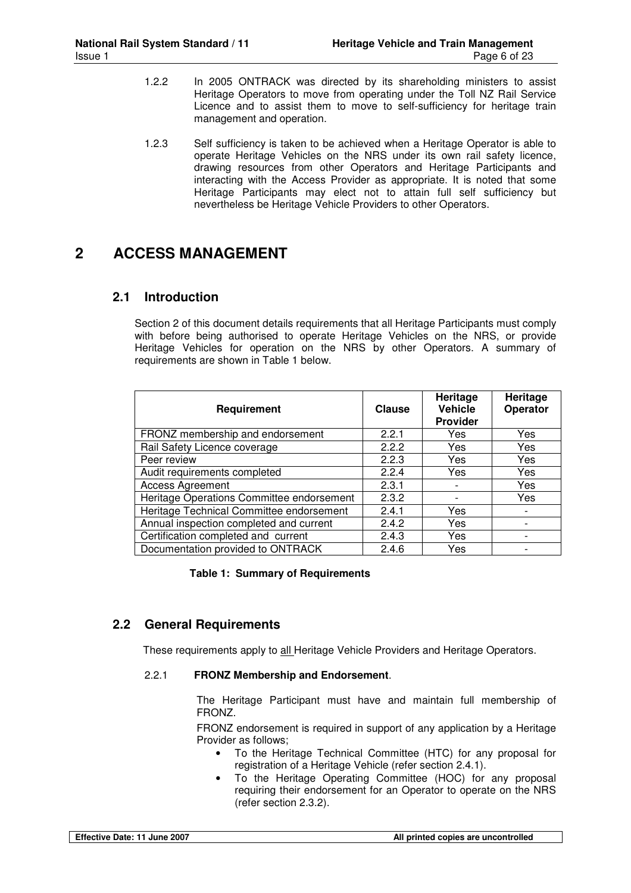- 1.2.2 In 2005 ONTRACK was directed by its shareholding ministers to assist Heritage Operators to move from operating under the Toll NZ Rail Service Licence and to assist them to move to self-sufficiency for heritage train management and operation.
- 1.2.3 Self sufficiency is taken to be achieved when a Heritage Operator is able to operate Heritage Vehicles on the NRS under its own rail safety licence, drawing resources from other Operators and Heritage Participants and interacting with the Access Provider as appropriate. It is noted that some Heritage Participants may elect not to attain full self sufficiency but nevertheless be Heritage Vehicle Providers to other Operators.

## **2 ACCESS MANAGEMENT**

#### **2.1 Introduction**

Section 2 of this document details requirements that all Heritage Participants must comply with before being authorised to operate Heritage Vehicles on the NRS, or provide Heritage Vehicles for operation on the NRS by other Operators. A summary of requirements are shown in Table 1 below.

| Requirement                               | <b>Clause</b> | Heritage<br><b>Vehicle</b><br><b>Provider</b> | Heritage<br>Operator |
|-------------------------------------------|---------------|-----------------------------------------------|----------------------|
| FRONZ membership and endorsement          | 2.2.1         | Yes                                           | Yes                  |
| Rail Safety Licence coverage              | 2.2.2         | Yes                                           | Yes                  |
| Peer review                               | 2.2.3         | Yes                                           | Yes                  |
| Audit requirements completed              | 2.2.4         | Yes                                           | Yes                  |
| <b>Access Agreement</b>                   | 2.3.1         |                                               | Yes                  |
| Heritage Operations Committee endorsement | 2.3.2         | $\overline{\phantom{a}}$                      | Yes                  |
| Heritage Technical Committee endorsement  | 2.4.1         | Yes                                           |                      |
| Annual inspection completed and current   | 2.4.2         | Yes                                           |                      |
| Certification completed and current       | 2.4.3         | Yes                                           |                      |
| Documentation provided to ONTRACK         | 2.4.6         | Yes                                           |                      |

#### **Table 1: Summary of Requirements**

#### **2.2 General Requirements**

These requirements apply to all Heritage Vehicle Providers and Heritage Operators.

#### 2.2.1 **FRONZ Membership and Endorsement**.

The Heritage Participant must have and maintain full membership of FRONZ.

FRONZ endorsement is required in support of any application by a Heritage Provider as follows;

- To the Heritage Technical Committee (HTC) for any proposal for registration of a Heritage Vehicle (refer section 2.4.1).
- To the Heritage Operating Committee (HOC) for any proposal requiring their endorsement for an Operator to operate on the NRS (refer section 2.3.2).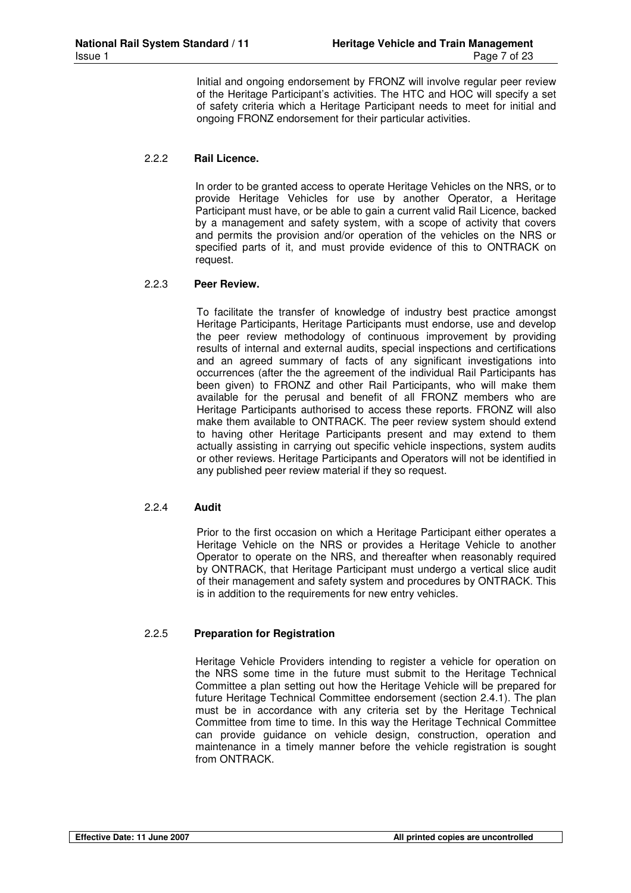Initial and ongoing endorsement by FRONZ will involve regular peer review of the Heritage Participant's activities. The HTC and HOC will specify a set of safety criteria which a Heritage Participant needs to meet for initial and ongoing FRONZ endorsement for their particular activities.

#### 2.2.2 **Rail Licence.**

In order to be granted access to operate Heritage Vehicles on the NRS, or to provide Heritage Vehicles for use by another Operator, a Heritage Participant must have, or be able to gain a current valid Rail Licence, backed by a management and safety system, with a scope of activity that covers and permits the provision and/or operation of the vehicles on the NRS or specified parts of it, and must provide evidence of this to ONTRACK on request.

#### 2.2.3 **Peer Review.**

To facilitate the transfer of knowledge of industry best practice amongst Heritage Participants, Heritage Participants must endorse, use and develop the peer review methodology of continuous improvement by providing results of internal and external audits, special inspections and certifications and an agreed summary of facts of any significant investigations into occurrences (after the the agreement of the individual Rail Participants has been given) to FRONZ and other Rail Participants, who will make them available for the perusal and benefit of all FRONZ members who are Heritage Participants authorised to access these reports. FRONZ will also make them available to ONTRACK. The peer review system should extend to having other Heritage Participants present and may extend to them actually assisting in carrying out specific vehicle inspections, system audits or other reviews. Heritage Participants and Operators will not be identified in any published peer review material if they so request.

#### 2.2.4 **Audit**

Prior to the first occasion on which a Heritage Participant either operates a Heritage Vehicle on the NRS or provides a Heritage Vehicle to another Operator to operate on the NRS, and thereafter when reasonably required by ONTRACK, that Heritage Participant must undergo a vertical slice audit of their management and safety system and procedures by ONTRACK. This is in addition to the requirements for new entry vehicles.

#### 2.2.5 **Preparation for Registration**

Heritage Vehicle Providers intending to register a vehicle for operation on the NRS some time in the future must submit to the Heritage Technical Committee a plan setting out how the Heritage Vehicle will be prepared for future Heritage Technical Committee endorsement (section 2.4.1). The plan must be in accordance with any criteria set by the Heritage Technical Committee from time to time. In this way the Heritage Technical Committee can provide guidance on vehicle design, construction, operation and maintenance in a timely manner before the vehicle registration is sought from ONTRACK.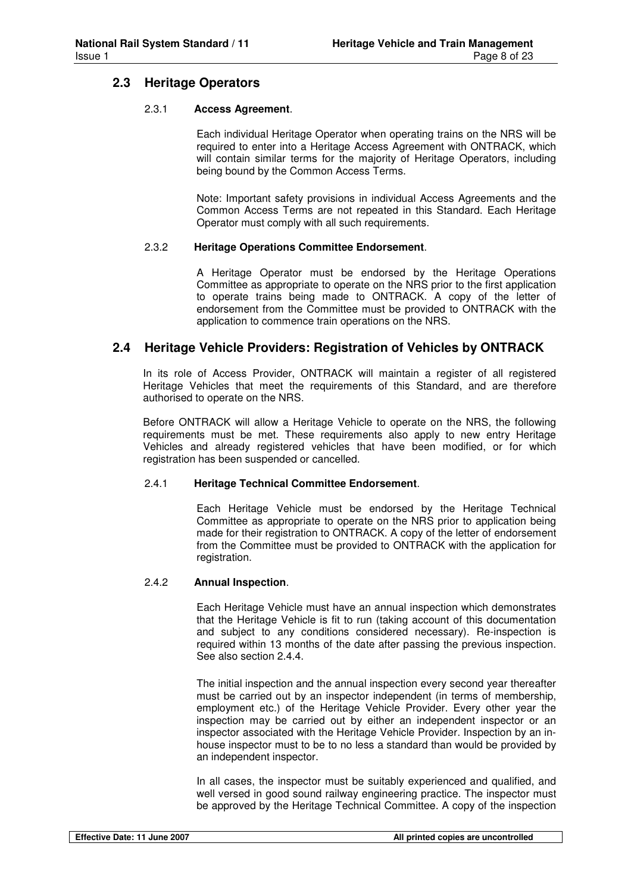#### **2.3 Heritage Operators**

#### 2.3.1 **Access Agreement**.

Each individual Heritage Operator when operating trains on the NRS will be required to enter into a Heritage Access Agreement with ONTRACK, which will contain similar terms for the majority of Heritage Operators, including being bound by the Common Access Terms.

Note: Important safety provisions in individual Access Agreements and the Common Access Terms are not repeated in this Standard. Each Heritage Operator must comply with all such requirements.

#### 2.3.2 **Heritage Operations Committee Endorsement**.

A Heritage Operator must be endorsed by the Heritage Operations Committee as appropriate to operate on the NRS prior to the first application to operate trains being made to ONTRACK. A copy of the letter of endorsement from the Committee must be provided to ONTRACK with the application to commence train operations on the NRS.

#### **2.4 Heritage Vehicle Providers: Registration of Vehicles by ONTRACK**

In its role of Access Provider, ONTRACK will maintain a register of all registered Heritage Vehicles that meet the requirements of this Standard, and are therefore authorised to operate on the NRS.

Before ONTRACK will allow a Heritage Vehicle to operate on the NRS, the following requirements must be met. These requirements also apply to new entry Heritage Vehicles and already registered vehicles that have been modified, or for which registration has been suspended or cancelled.

#### 2.4.1 **Heritage Technical Committee Endorsement**.

Each Heritage Vehicle must be endorsed by the Heritage Technical Committee as appropriate to operate on the NRS prior to application being made for their registration to ONTRACK. A copy of the letter of endorsement from the Committee must be provided to ONTRACK with the application for registration.

#### 2.4.2 **Annual Inspection**.

Each Heritage Vehicle must have an annual inspection which demonstrates that the Heritage Vehicle is fit to run (taking account of this documentation and subject to any conditions considered necessary). Re-inspection is required within 13 months of the date after passing the previous inspection. See also section 2.4.4.

The initial inspection and the annual inspection every second year thereafter must be carried out by an inspector independent (in terms of membership, employment etc.) of the Heritage Vehicle Provider. Every other year the inspection may be carried out by either an independent inspector or an inspector associated with the Heritage Vehicle Provider. Inspection by an inhouse inspector must to be to no less a standard than would be provided by an independent inspector.

In all cases, the inspector must be suitably experienced and qualified, and well versed in good sound railway engineering practice. The inspector must be approved by the Heritage Technical Committee. A copy of the inspection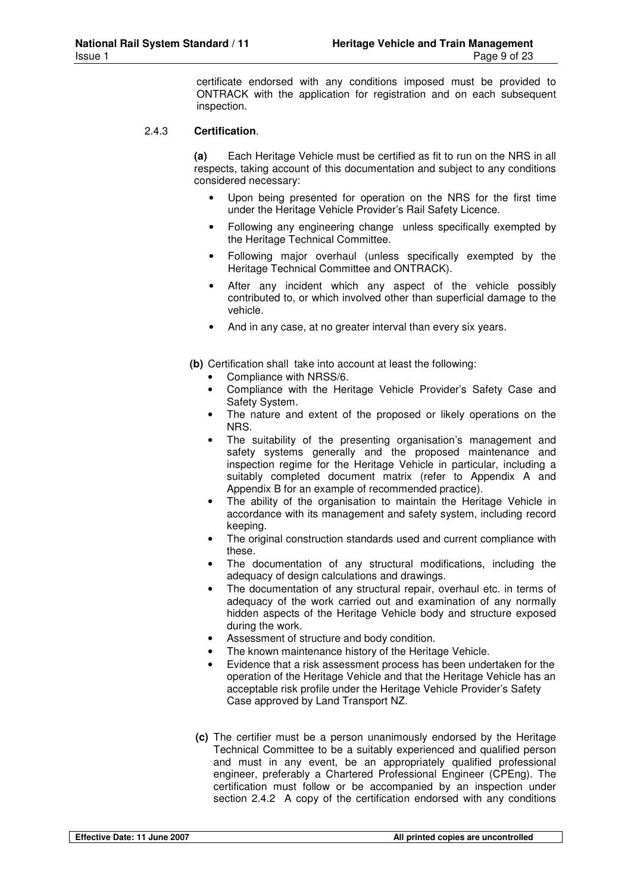certificate endorsed with any conditions imposed must be provided to ONTRACK with the application for registration and on each subsequent inspection.

#### 2.4.3 **Certification**.

**(a)** Each Heritage Vehicle must be certified as fit to run on the NRS in all respects, taking account of this documentation and subject to any conditions considered necessary:

- Upon being presented for operation on the NRS for the first time under the Heritage Vehicle Provider's Rail Safety Licence.
- Following any engineering change unless specifically exempted by the Heritage Technical Committee.
- Following major overhaul (unless specifically exempted by the Heritage Technical Committee and ONTRACK).
- After any incident which any aspect of the vehicle possibly contributed to, or which involved other than superficial damage to the vehicle.
- And in any case, at no greater interval than every six years.
- **(b)** Certification shall take into account at least the following:
	- Compliance with NRSS/6.
	- Compliance with the Heritage Vehicle Provider's Safety Case and Safety System.
	- The nature and extent of the proposed or likely operations on the NRS.
	- The suitability of the presenting organisation's management and safety systems generally and the proposed maintenance and inspection regime for the Heritage Vehicle in particular, including a suitably completed document matrix (refer to Appendix A and Appendix B for an example of recommended practice).
	- The ability of the organisation to maintain the Heritage Vehicle in accordance with its management and safety system, including record keeping.
	- The original construction standards used and current compliance with these.
	- The documentation of any structural modifications, including the adequacy of design calculations and drawings.
	- The documentation of any structural repair, overhaul etc. in terms of adequacy of the work carried out and examination of any normally hidden aspects of the Heritage Vehicle body and structure exposed during the work.
	- Assessment of structure and body condition.
	- The known maintenance history of the Heritage Vehicle.
	- Evidence that a risk assessment process has been undertaken for the operation of the Heritage Vehicle and that the Heritage Vehicle has an acceptable risk profile under the Heritage Vehicle Provider's Safety Case approved by Land Transport NZ.
- **(c)** The certifier must be a person unanimously endorsed by the Heritage Technical Committee to be a suitably experienced and qualified person and must in any event, be an appropriately qualified professional engineer, preferably a Chartered Professional Engineer (CPEng). The certification must follow or be accompanied by an inspection under section 2.4.2 A copy of the certification endorsed with any conditions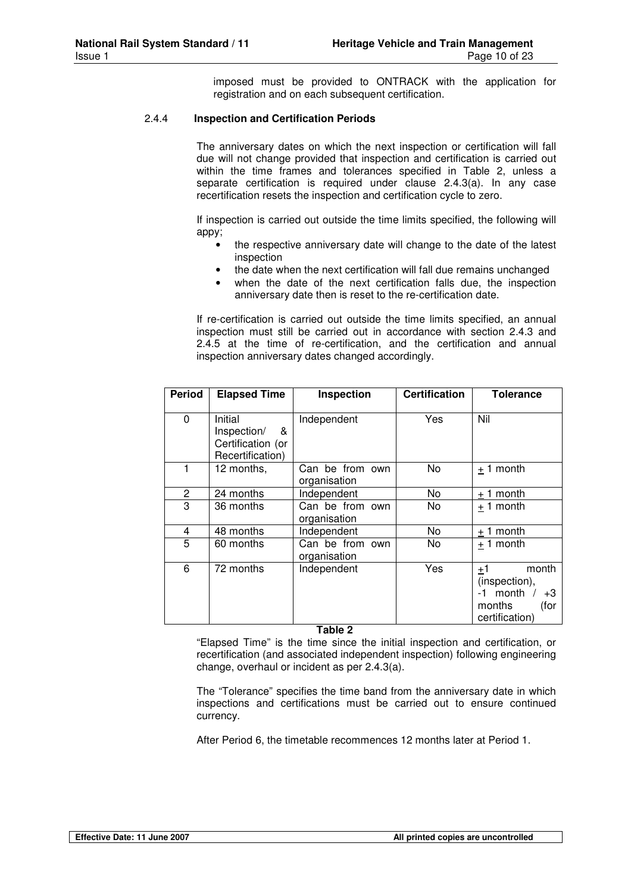imposed must be provided to ONTRACK with the application for registration and on each subsequent certification.

#### 2.4.4 **Inspection and Certification Periods**

The anniversary dates on which the next inspection or certification will fall due will not change provided that inspection and certification is carried out within the time frames and tolerances specified in Table 2, unless a separate certification is required under clause 2.4.3(a). In any case recertification resets the inspection and certification cycle to zero.

If inspection is carried out outside the time limits specified, the following will appy;

- the respective anniversary date will change to the date of the latest inspection
- the date when the next certification will fall due remains unchanged
- when the date of the next certification falls due, the inspection anniversary date then is reset to the re-certification date.

If re-certification is carried out outside the time limits specified, an annual inspection must still be carried out in accordance with section 2.4.3 and 2.4.5 at the time of re-certification, and the certification and annual inspection anniversary dates changed accordingly.

| <b>Period</b> | <b>Elapsed Time</b>                                                  | Inspection                      | <b>Certification</b> | Tolerance                                                                                |
|---------------|----------------------------------------------------------------------|---------------------------------|----------------------|------------------------------------------------------------------------------------------|
| 0             | Initial<br>Inspection/<br>&<br>Certification (or<br>Recertification) | Independent                     | Yes                  | Nil                                                                                      |
|               | 12 months,                                                           | Can be from own<br>organisation | No                   | $+1$ month                                                                               |
| 2             | 24 months                                                            | Independent                     | No.                  | $+1$ month                                                                               |
| 3             | 36 months                                                            | Can be from own<br>organisation | No.                  | $+1$ month                                                                               |
| 4             | 48 months                                                            | Independent                     | No.                  | $+1$ month                                                                               |
| 5             | 60 months                                                            | Can be from own<br>organisation | No.                  | $+1$ month                                                                               |
| 6             | 72 months                                                            | Independent                     | Yes                  | month<br>±1<br>(inspection),<br>$-1$ month /<br>$+3$<br>months<br>(for<br>certification) |

**Table 2** 

"Elapsed Time" is the time since the initial inspection and certification, or recertification (and associated independent inspection) following engineering change, overhaul or incident as per 2.4.3(a).

The "Tolerance" specifies the time band from the anniversary date in which inspections and certifications must be carried out to ensure continued currency.

After Period 6, the timetable recommences 12 months later at Period 1.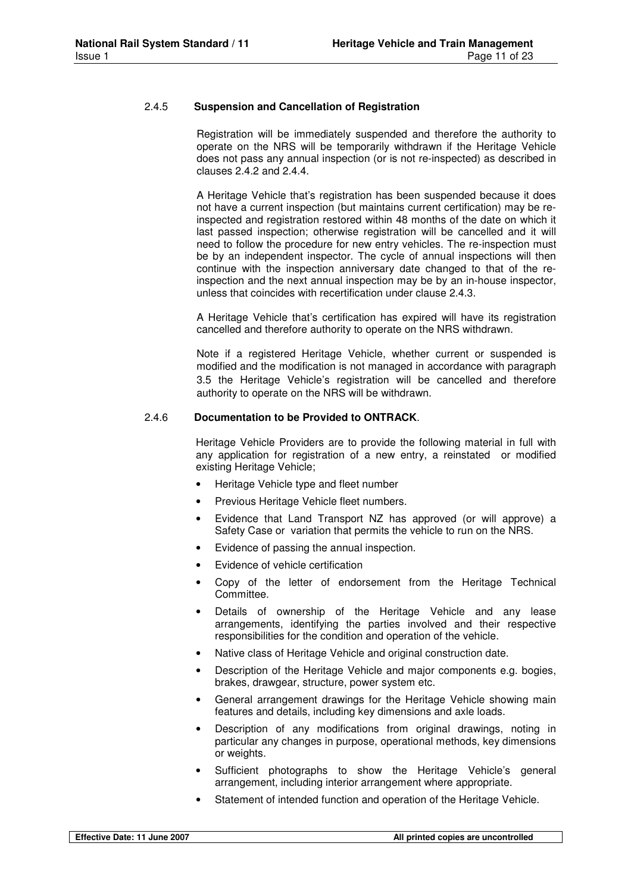#### 2.4.5 **Suspension and Cancellation of Registration**

Registration will be immediately suspended and therefore the authority to operate on the NRS will be temporarily withdrawn if the Heritage Vehicle does not pass any annual inspection (or is not re-inspected) as described in clauses 2.4.2 and 2.4.4.

A Heritage Vehicle that's registration has been suspended because it does not have a current inspection (but maintains current certification) may be reinspected and registration restored within 48 months of the date on which it last passed inspection; otherwise registration will be cancelled and it will need to follow the procedure for new entry vehicles. The re-inspection must be by an independent inspector. The cycle of annual inspections will then continue with the inspection anniversary date changed to that of the reinspection and the next annual inspection may be by an in-house inspector, unless that coincides with recertification under clause 2.4.3.

A Heritage Vehicle that's certification has expired will have its registration cancelled and therefore authority to operate on the NRS withdrawn.

Note if a registered Heritage Vehicle, whether current or suspended is modified and the modification is not managed in accordance with paragraph 3.5 the Heritage Vehicle's registration will be cancelled and therefore authority to operate on the NRS will be withdrawn.

#### 2.4.6 **Documentation to be Provided to ONTRACK**.

Heritage Vehicle Providers are to provide the following material in full with any application for registration of a new entry, a reinstated or modified existing Heritage Vehicle;

- Heritage Vehicle type and fleet number
- Previous Heritage Vehicle fleet numbers.
- Evidence that Land Transport NZ has approved (or will approve) a Safety Case or variation that permits the vehicle to run on the NRS.
- Evidence of passing the annual inspection.
- Evidence of vehicle certification
- Copy of the letter of endorsement from the Heritage Technical Committee.
- Details of ownership of the Heritage Vehicle and any lease arrangements, identifying the parties involved and their respective responsibilities for the condition and operation of the vehicle.
- Native class of Heritage Vehicle and original construction date.
- Description of the Heritage Vehicle and major components e.g. bogies, brakes, drawgear, structure, power system etc.
- General arrangement drawings for the Heritage Vehicle showing main features and details, including key dimensions and axle loads.
- Description of any modifications from original drawings, noting in particular any changes in purpose, operational methods, key dimensions or weights.
- Sufficient photographs to show the Heritage Vehicle's general arrangement, including interior arrangement where appropriate.
- Statement of intended function and operation of the Heritage Vehicle.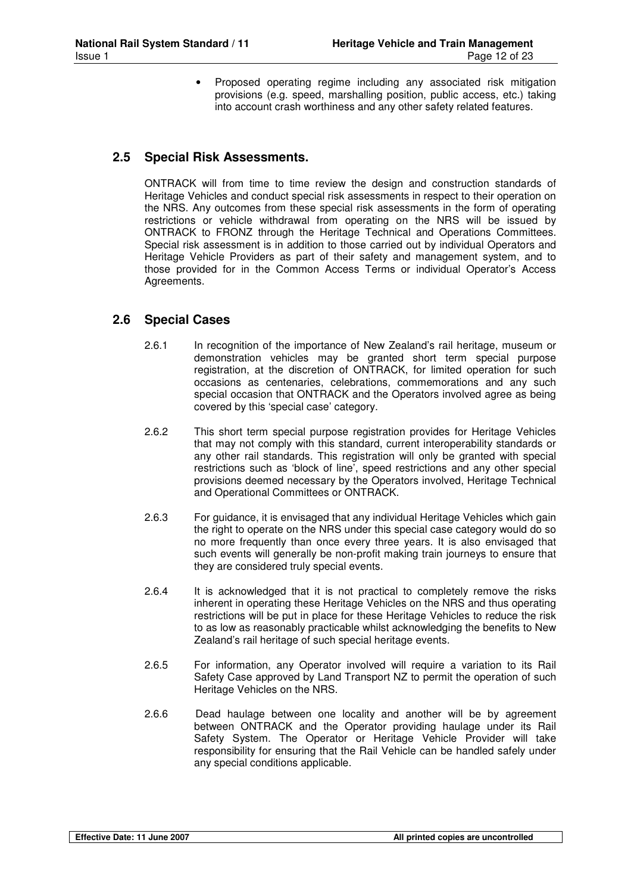Proposed operating regime including any associated risk mitigation provisions (e.g. speed, marshalling position, public access, etc.) taking into account crash worthiness and any other safety related features.

#### **2.5 Special Risk Assessments.**

ONTRACK will from time to time review the design and construction standards of Heritage Vehicles and conduct special risk assessments in respect to their operation on the NRS. Any outcomes from these special risk assessments in the form of operating restrictions or vehicle withdrawal from operating on the NRS will be issued by ONTRACK to FRONZ through the Heritage Technical and Operations Committees. Special risk assessment is in addition to those carried out by individual Operators and Heritage Vehicle Providers as part of their safety and management system, and to those provided for in the Common Access Terms or individual Operator's Access Agreements.

#### **2.6 Special Cases**

- 2.6.1 In recognition of the importance of New Zealand's rail heritage, museum or demonstration vehicles may be granted short term special purpose registration, at the discretion of ONTRACK, for limited operation for such occasions as centenaries, celebrations, commemorations and any such special occasion that ONTRACK and the Operators involved agree as being covered by this 'special case' category.
- 2.6.2 This short term special purpose registration provides for Heritage Vehicles that may not comply with this standard, current interoperability standards or any other rail standards. This registration will only be granted with special restrictions such as 'block of line', speed restrictions and any other special provisions deemed necessary by the Operators involved, Heritage Technical and Operational Committees or ONTRACK.
- 2.6.3 For guidance, it is envisaged that any individual Heritage Vehicles which gain the right to operate on the NRS under this special case category would do so no more frequently than once every three years. It is also envisaged that such events will generally be non-profit making train journeys to ensure that they are considered truly special events.
- 2.6.4 It is acknowledged that it is not practical to completely remove the risks inherent in operating these Heritage Vehicles on the NRS and thus operating restrictions will be put in place for these Heritage Vehicles to reduce the risk to as low as reasonably practicable whilst acknowledging the benefits to New Zealand's rail heritage of such special heritage events.
- 2.6.5 For information, any Operator involved will require a variation to its Rail Safety Case approved by Land Transport NZ to permit the operation of such Heritage Vehicles on the NRS.
- 2.6.6 Dead haulage between one locality and another will be by agreement between ONTRACK and the Operator providing haulage under its Rail Safety System. The Operator or Heritage Vehicle Provider will take responsibility for ensuring that the Rail Vehicle can be handled safely under any special conditions applicable.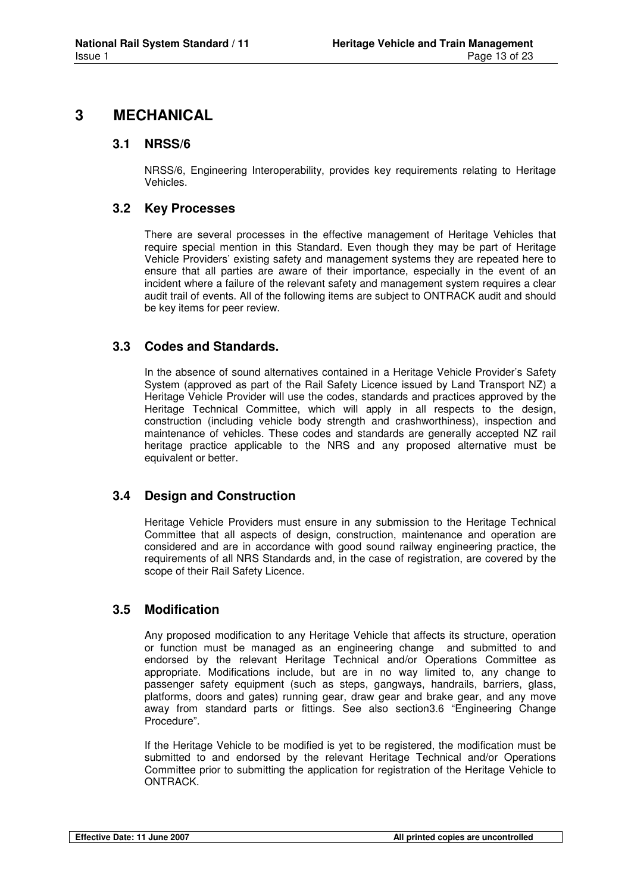### **3 MECHANICAL**

#### **3.1 NRSS/6**

NRSS/6, Engineering Interoperability, provides key requirements relating to Heritage Vehicles.

#### **3.2 Key Processes**

There are several processes in the effective management of Heritage Vehicles that require special mention in this Standard. Even though they may be part of Heritage Vehicle Providers' existing safety and management systems they are repeated here to ensure that all parties are aware of their importance, especially in the event of an incident where a failure of the relevant safety and management system requires a clear audit trail of events. All of the following items are subject to ONTRACK audit and should be key items for peer review.

#### **3.3 Codes and Standards.**

In the absence of sound alternatives contained in a Heritage Vehicle Provider's Safety System (approved as part of the Rail Safety Licence issued by Land Transport NZ) a Heritage Vehicle Provider will use the codes, standards and practices approved by the Heritage Technical Committee, which will apply in all respects to the design, construction (including vehicle body strength and crashworthiness), inspection and maintenance of vehicles. These codes and standards are generally accepted NZ rail heritage practice applicable to the NRS and any proposed alternative must be equivalent or better.

#### **3.4 Design and Construction**

Heritage Vehicle Providers must ensure in any submission to the Heritage Technical Committee that all aspects of design, construction, maintenance and operation are considered and are in accordance with good sound railway engineering practice, the requirements of all NRS Standards and, in the case of registration, are covered by the scope of their Rail Safety Licence.

#### **3.5 Modification**

Any proposed modification to any Heritage Vehicle that affects its structure, operation or function must be managed as an engineering change and submitted to and endorsed by the relevant Heritage Technical and/or Operations Committee as appropriate. Modifications include, but are in no way limited to, any change to passenger safety equipment (such as steps, gangways, handrails, barriers, glass, platforms, doors and gates) running gear, draw gear and brake gear, and any move away from standard parts or fittings. See also section3.6 "Engineering Change Procedure".

If the Heritage Vehicle to be modified is yet to be registered, the modification must be submitted to and endorsed by the relevant Heritage Technical and/or Operations Committee prior to submitting the application for registration of the Heritage Vehicle to ONTRACK.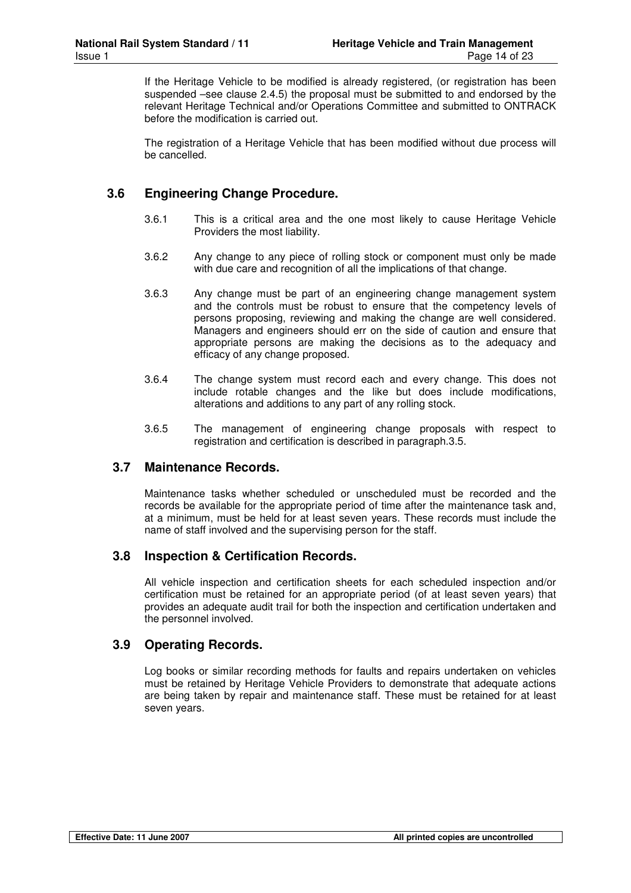If the Heritage Vehicle to be modified is already registered, (or registration has been suspended –see clause 2.4.5) the proposal must be submitted to and endorsed by the relevant Heritage Technical and/or Operations Committee and submitted to ONTRACK before the modification is carried out.

The registration of a Heritage Vehicle that has been modified without due process will be cancelled.

#### **3.6 Engineering Change Procedure.**

- 3.6.1 This is a critical area and the one most likely to cause Heritage Vehicle Providers the most liability.
- 3.6.2 Any change to any piece of rolling stock or component must only be made with due care and recognition of all the implications of that change.
- 3.6.3 Any change must be part of an engineering change management system and the controls must be robust to ensure that the competency levels of persons proposing, reviewing and making the change are well considered. Managers and engineers should err on the side of caution and ensure that appropriate persons are making the decisions as to the adequacy and efficacy of any change proposed.
- 3.6.4 The change system must record each and every change. This does not include rotable changes and the like but does include modifications, alterations and additions to any part of any rolling stock.
- 3.6.5 The management of engineering change proposals with respect to registration and certification is described in paragraph.3.5.

#### **3.7 Maintenance Records.**

Maintenance tasks whether scheduled or unscheduled must be recorded and the records be available for the appropriate period of time after the maintenance task and, at a minimum, must be held for at least seven years. These records must include the name of staff involved and the supervising person for the staff.

#### **3.8 Inspection & Certification Records.**

All vehicle inspection and certification sheets for each scheduled inspection and/or certification must be retained for an appropriate period (of at least seven years) that provides an adequate audit trail for both the inspection and certification undertaken and the personnel involved.

#### **3.9 Operating Records.**

Log books or similar recording methods for faults and repairs undertaken on vehicles must be retained by Heritage Vehicle Providers to demonstrate that adequate actions are being taken by repair and maintenance staff. These must be retained for at least seven years.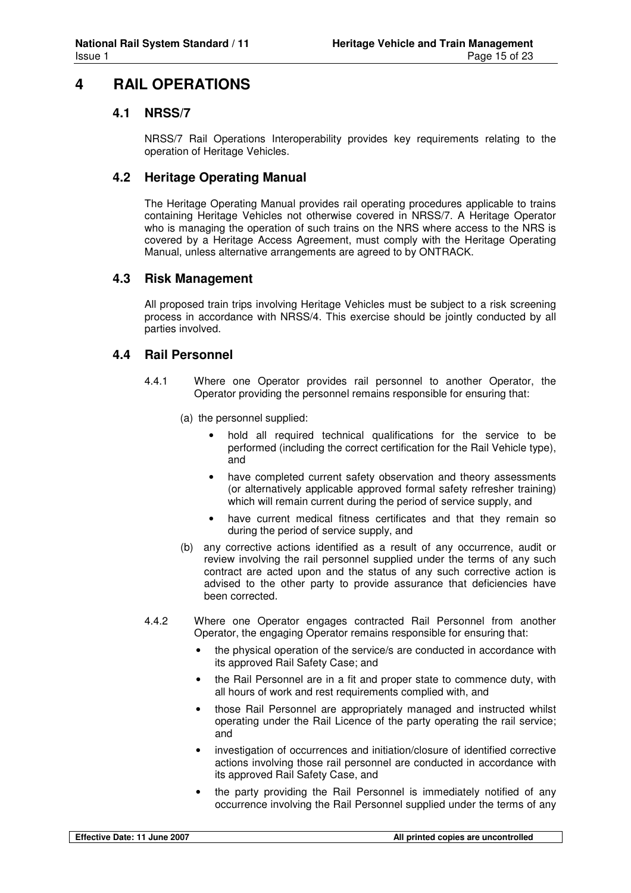## **4 RAIL OPERATIONS**

#### **4.1 NRSS/7**

NRSS/7 Rail Operations Interoperability provides key requirements relating to the operation of Heritage Vehicles.

#### **4.2 Heritage Operating Manual**

The Heritage Operating Manual provides rail operating procedures applicable to trains containing Heritage Vehicles not otherwise covered in NRSS/7. A Heritage Operator who is managing the operation of such trains on the NRS where access to the NRS is covered by a Heritage Access Agreement, must comply with the Heritage Operating Manual, unless alternative arrangements are agreed to by ONTRACK.

#### **4.3 Risk Management**

All proposed train trips involving Heritage Vehicles must be subject to a risk screening process in accordance with NRSS/4. This exercise should be jointly conducted by all parties involved.

#### **4.4 Rail Personnel**

- 4.4.1 Where one Operator provides rail personnel to another Operator, the Operator providing the personnel remains responsible for ensuring that:
	- (a) the personnel supplied:
		- hold all required technical qualifications for the service to be performed (including the correct certification for the Rail Vehicle type), and
		- have completed current safety observation and theory assessments (or alternatively applicable approved formal safety refresher training) which will remain current during the period of service supply, and
		- have current medical fitness certificates and that they remain so during the period of service supply, and
	- (b) any corrective actions identified as a result of any occurrence, audit or review involving the rail personnel supplied under the terms of any such contract are acted upon and the status of any such corrective action is advised to the other party to provide assurance that deficiencies have been corrected.
- 4.4.2 Where one Operator engages contracted Rail Personnel from another Operator, the engaging Operator remains responsible for ensuring that:
	- the physical operation of the service/s are conducted in accordance with its approved Rail Safety Case; and
	- the Rail Personnel are in a fit and proper state to commence duty, with all hours of work and rest requirements complied with, and
	- those Rail Personnel are appropriately managed and instructed whilst operating under the Rail Licence of the party operating the rail service; and
	- investigation of occurrences and initiation/closure of identified corrective actions involving those rail personnel are conducted in accordance with its approved Rail Safety Case, and
	- the party providing the Rail Personnel is immediately notified of any occurrence involving the Rail Personnel supplied under the terms of any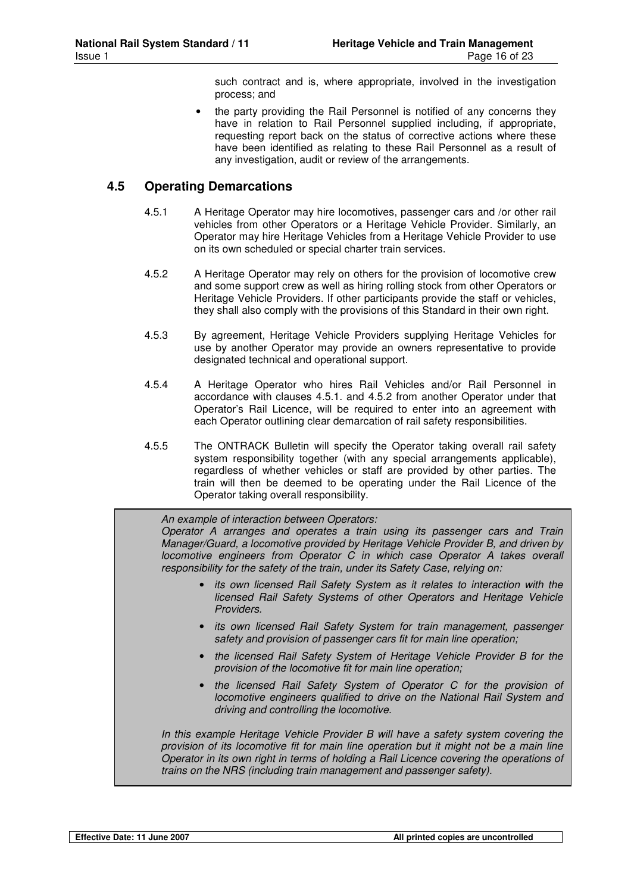such contract and is, where appropriate, involved in the investigation process; and

the party providing the Rail Personnel is notified of any concerns they have in relation to Rail Personnel supplied including, if appropriate, requesting report back on the status of corrective actions where these have been identified as relating to these Rail Personnel as a result of any investigation, audit or review of the arrangements.

#### **4.5 Operating Demarcations**

- 4.5.1 A Heritage Operator may hire locomotives, passenger cars and /or other rail vehicles from other Operators or a Heritage Vehicle Provider. Similarly, an Operator may hire Heritage Vehicles from a Heritage Vehicle Provider to use on its own scheduled or special charter train services.
- 4.5.2 A Heritage Operator may rely on others for the provision of locomotive crew and some support crew as well as hiring rolling stock from other Operators or Heritage Vehicle Providers. If other participants provide the staff or vehicles, they shall also comply with the provisions of this Standard in their own right.
- 4.5.3 By agreement, Heritage Vehicle Providers supplying Heritage Vehicles for use by another Operator may provide an owners representative to provide designated technical and operational support.
- 4.5.4 A Heritage Operator who hires Rail Vehicles and/or Rail Personnel in accordance with clauses 4.5.1. and 4.5.2 from another Operator under that Operator's Rail Licence, will be required to enter into an agreement with each Operator outlining clear demarcation of rail safety responsibilities.
- 4.5.5 The ONTRACK Bulletin will specify the Operator taking overall rail safety system responsibility together (with any special arrangements applicable), regardless of whether vehicles or staff are provided by other parties. The train will then be deemed to be operating under the Rail Licence of the Operator taking overall responsibility.

An example of interaction between Operators: Operator A arranges and operates a train using its passenger cars and Train Manager/Guard, a locomotive provided by Heritage Vehicle Provider B, and driven by locomotive engineers from Operator C in which case Operator A takes overall

responsibility for the safety of the train, under its Safety Case, relying on:

- its own licensed Rail Safety System as it relates to interaction with the licensed Rail Safety Systems of other Operators and Heritage Vehicle Providers.
- its own licensed Rail Safety System for train management, passenger safety and provision of passenger cars fit for main line operation;
- the licensed Rail Safety System of Heritage Vehicle Provider B for the provision of the locomotive fit for main line operation;
- the licensed Rail Safety System of Operator C for the provision of locomotive engineers qualified to drive on the National Rail System and driving and controlling the locomotive.

In this example Heritage Vehicle Provider B will have a safety system covering the provision of its locomotive fit for main line operation but it might not be a main line Operator in its own right in terms of holding a Rail Licence covering the operations of trains on the NRS (including train management and passenger safety).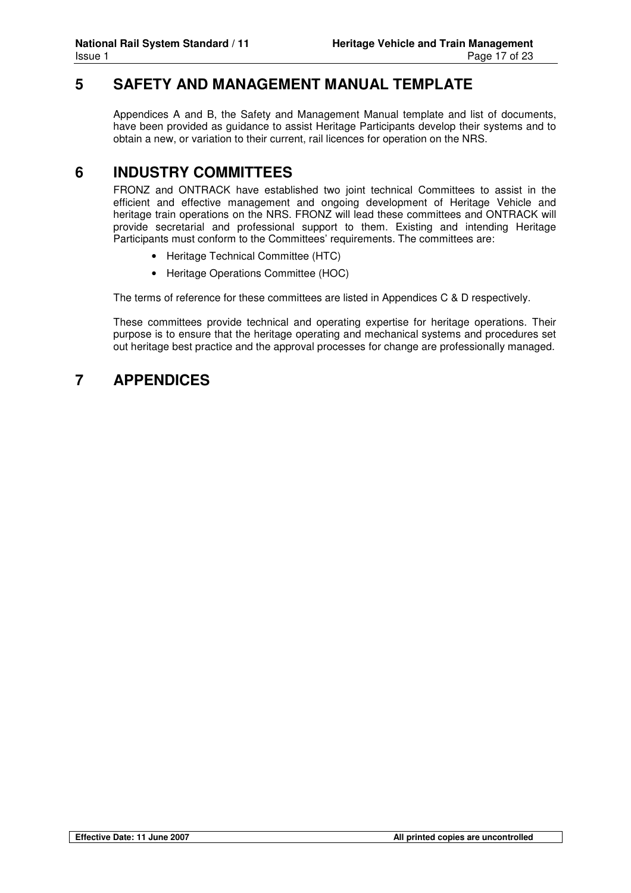## **5 SAFETY AND MANAGEMENT MANUAL TEMPLATE**

Appendices A and B, the Safety and Management Manual template and list of documents, have been provided as guidance to assist Heritage Participants develop their systems and to obtain a new, or variation to their current, rail licences for operation on the NRS.

## **6 INDUSTRY COMMITTEES**

FRONZ and ONTRACK have established two joint technical Committees to assist in the efficient and effective management and ongoing development of Heritage Vehicle and heritage train operations on the NRS. FRONZ will lead these committees and ONTRACK will provide secretarial and professional support to them. Existing and intending Heritage Participants must conform to the Committees' requirements. The committees are:

- Heritage Technical Committee (HTC)
- Heritage Operations Committee (HOC)

The terms of reference for these committees are listed in Appendices C & D respectively.

These committees provide technical and operating expertise for heritage operations. Their purpose is to ensure that the heritage operating and mechanical systems and procedures set out heritage best practice and the approval processes for change are professionally managed.

## **7 APPENDICES**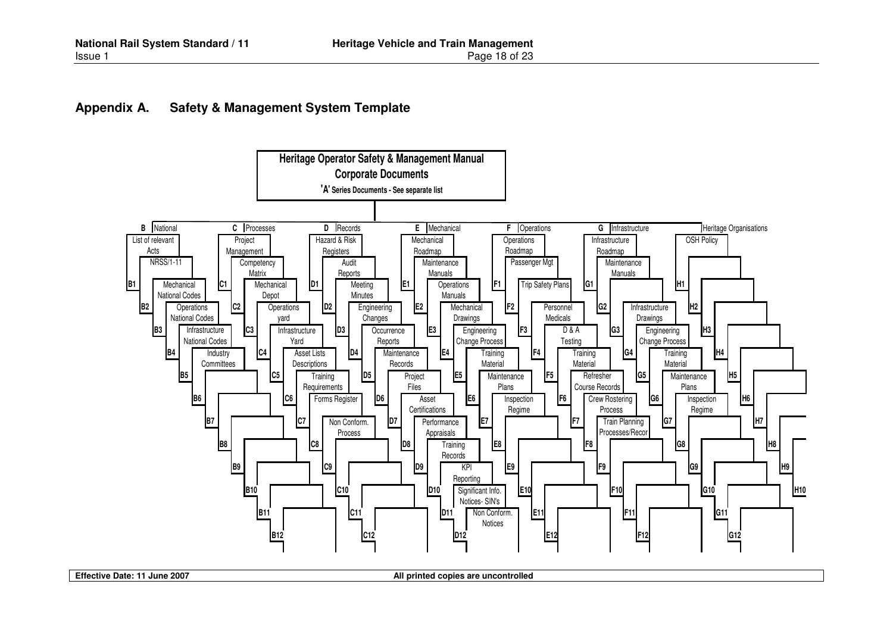#### **Appendix A. Safety & Management System Template**



**Effective Date: 11 June 2007 All printed copies are uncontrolled All printed copies are uncontrolled**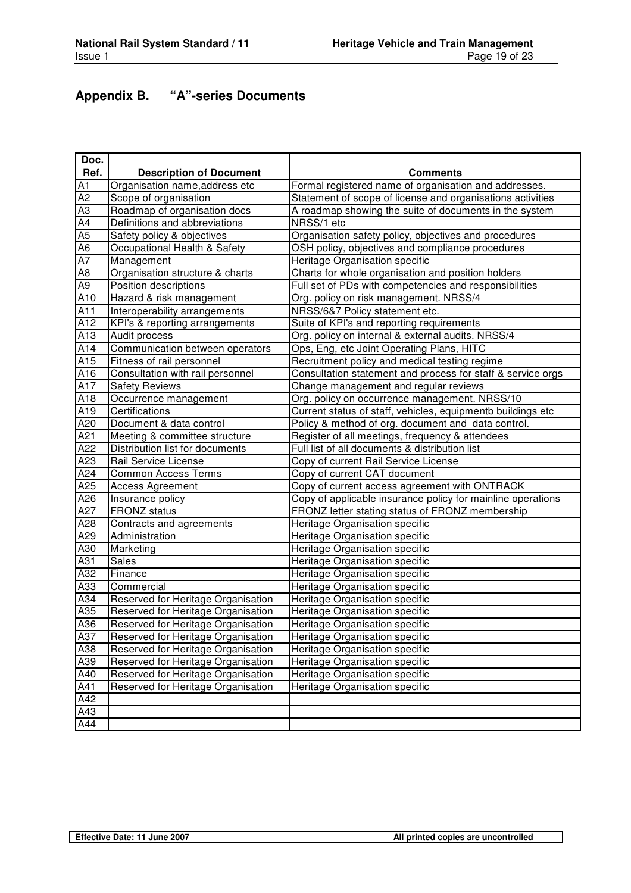## **Appendix B. "A"-series Documents**

| Doc.             |                                    |                                                             |
|------------------|------------------------------------|-------------------------------------------------------------|
| Ref.             | <b>Description of Document</b>     | <b>Comments</b>                                             |
| A1               | Organisation name, address etc     | Formal registered name of organisation and addresses.       |
| $\overline{A2}$  | Scope of organisation              | Statement of scope of license and organisations activities  |
| A3               | Roadmap of organisation docs       | A roadmap showing the suite of documents in the system      |
| $\overline{A4}$  | Definitions and abbreviations      | NRSS/1 etc                                                  |
| A <sub>5</sub>   | Safety policy & objectives         | Organisation safety policy, objectives and procedures       |
| A <sub>6</sub>   | Occupational Health & Safety       | OSH policy, objectives and compliance procedures            |
| $\overline{A7}$  | Management                         | Heritage Organisation specific                              |
| $\overline{AB}$  | Organisation structure & charts    | Charts for whole organisation and position holders          |
| $\overline{A9}$  | Position descriptions              | Full set of PDs with competencies and responsibilities      |
| A10              | Hazard & risk management           | Org. policy on risk management. NRSS/4                      |
| A11              | Interoperability arrangements      | NRSS/6&7 Policy statement etc.                              |
| A12              | KPI's & reporting arrangements     | Suite of KPI's and reporting requirements                   |
| $\overline{A13}$ | Audit process                      | Org. policy on internal & external audits. NRSS/4           |
| A14              | Communication between operators    | Ops, Eng, etc Joint Operating Plans, HITC                   |
| A15              | Fitness of rail personnel          | Recruitment policy and medical testing regime               |
| A16              | Consultation with rail personnel   | Consultation statement and process for staff & service orgs |
| A17              | <b>Safety Reviews</b>              | Change management and regular reviews                       |
| A18              | Occurrence management              | Org. policy on occurrence management. NRSS/10               |
| A19              | Certifications                     | Current status of staff, vehicles, equipmentb buildings etc |
| A20              | Document & data control            | Policy & method of org. document and data control.          |
| A21              | Meeting & committee structure      | Register of all meetings, frequency & attendees             |
| A22              | Distribution list for documents    | Full list of all documents & distribution list              |
| A23              | Rail Service License               | Copy of current Rail Service License                        |
| A24              | <b>Common Access Terms</b>         | Copy of current CAT document                                |
| A25              | <b>Access Agreement</b>            | Copy of current access agreement with ONTRACK               |
| A26              | Insurance policy                   | Copy of applicable insurance policy for mainline operations |
| A27              | <b>FRONZ</b> status                | FRONZ letter stating status of FRONZ membership             |
| A28              | Contracts and agreements           | Heritage Organisation specific                              |
| A29              | Administration                     | Heritage Organisation specific                              |
| A30              | Marketing                          | Heritage Organisation specific                              |
| A31              | <b>Sales</b>                       | Heritage Organisation specific                              |
| A32              | Finance                            | Heritage Organisation specific                              |
| A33              | Commercial                         | Heritage Organisation specific                              |
| A34              | Reserved for Heritage Organisation | Heritage Organisation specific                              |
| A35              | Reserved for Heritage Organisation | Heritage Organisation specific                              |
| A36              | Reserved for Heritage Organisation | Heritage Organisation specific                              |
| A37              | Reserved for Heritage Organisation | Heritage Organisation specific                              |
| A38              | Reserved for Heritage Organisation | Heritage Organisation specific                              |
| $\overline{A39}$ | Reserved for Heritage Organisation | Heritage Organisation specific                              |
| A40              | Reserved for Heritage Organisation | Heritage Organisation specific                              |
| A41              | Reserved for Heritage Organisation | Heritage Organisation specific                              |
| A42              |                                    |                                                             |
| A43              |                                    |                                                             |
| A44              |                                    |                                                             |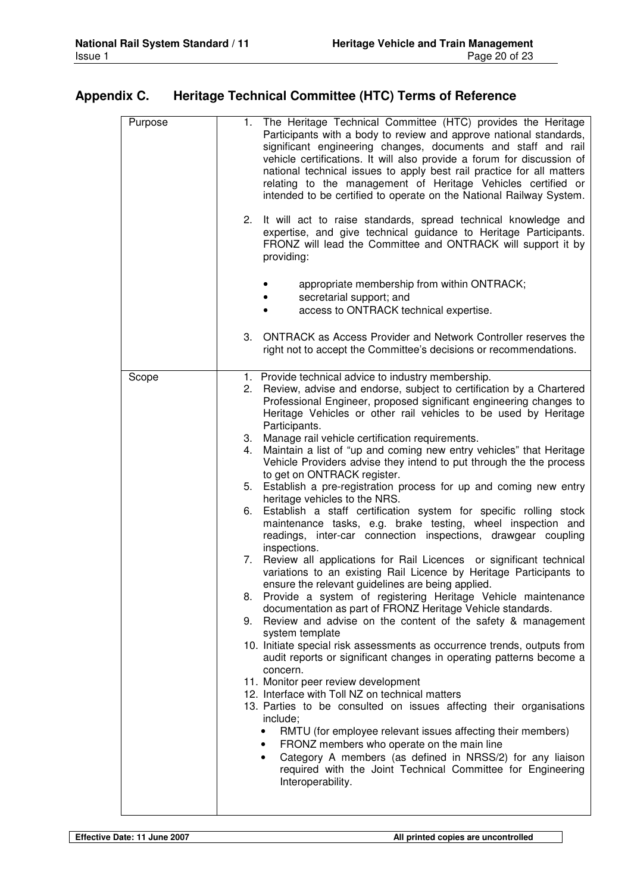## **Appendix C. Heritage Technical Committee (HTC) Terms of Reference**

| Purpose | 1. The Heritage Technical Committee (HTC) provides the Heritage<br>Participants with a body to review and approve national standards,<br>significant engineering changes, documents and staff and rail<br>vehicle certifications. It will also provide a forum for discussion of<br>national technical issues to apply best rail practice for all matters<br>relating to the management of Heritage Vehicles certified or<br>intended to be certified to operate on the National Railway System. |
|---------|--------------------------------------------------------------------------------------------------------------------------------------------------------------------------------------------------------------------------------------------------------------------------------------------------------------------------------------------------------------------------------------------------------------------------------------------------------------------------------------------------|
|         | 2.<br>It will act to raise standards, spread technical knowledge and<br>expertise, and give technical guidance to Heritage Participants.<br>FRONZ will lead the Committee and ONTRACK will support it by<br>providing:                                                                                                                                                                                                                                                                           |
|         | appropriate membership from within ONTRACK;<br>secretarial support; and<br>access to ONTRACK technical expertise.                                                                                                                                                                                                                                                                                                                                                                                |
|         | <b>ONTRACK as Access Provider and Network Controller reserves the</b><br>3.<br>right not to accept the Committee's decisions or recommendations.                                                                                                                                                                                                                                                                                                                                                 |
| Scope   | 1. Provide technical advice to industry membership.<br>Review, advise and endorse, subject to certification by a Chartered<br>2.<br>Professional Engineer, proposed significant engineering changes to<br>Heritage Vehicles or other rail vehicles to be used by Heritage<br>Participants.                                                                                                                                                                                                       |
|         | Manage rail vehicle certification requirements.<br>3.<br>Maintain a list of "up and coming new entry vehicles" that Heritage<br>4.<br>Vehicle Providers advise they intend to put through the the process<br>to get on ONTRACK register.                                                                                                                                                                                                                                                         |
|         | Establish a pre-registration process for up and coming new entry<br>5.<br>heritage vehicles to the NRS.<br>Establish a staff certification system for specific rolling stock<br>6.<br>maintenance tasks, e.g. brake testing, wheel inspection and                                                                                                                                                                                                                                                |
|         | readings, inter-car connection inspections, drawgear coupling<br>inspections.<br>Review all applications for Rail Licences or significant technical<br>7.                                                                                                                                                                                                                                                                                                                                        |
|         | variations to an existing Rail Licence by Heritage Participants to<br>ensure the relevant guidelines are being applied.<br>8. Provide a system of registering Heritage Vehicle maintenance                                                                                                                                                                                                                                                                                                       |
|         | documentation as part of FRONZ Heritage Vehicle standards.<br>Review and advise on the content of the safety & management<br>9.<br>system template                                                                                                                                                                                                                                                                                                                                               |
|         | 10. Initiate special risk assessments as occurrence trends, outputs from<br>audit reports or significant changes in operating patterns become a<br>concern.<br>11. Monitor peer review development                                                                                                                                                                                                                                                                                               |
|         | 12. Interface with Toll NZ on technical matters<br>13. Parties to be consulted on issues affecting their organisations<br>include;                                                                                                                                                                                                                                                                                                                                                               |
|         | RMTU (for employee relevant issues affecting their members)<br>$\bullet$<br>FRONZ members who operate on the main line<br>Category A members (as defined in NRSS/2) for any liaison<br>٠<br>required with the Joint Technical Committee for Engineering<br>Interoperability.                                                                                                                                                                                                                     |
|         |                                                                                                                                                                                                                                                                                                                                                                                                                                                                                                  |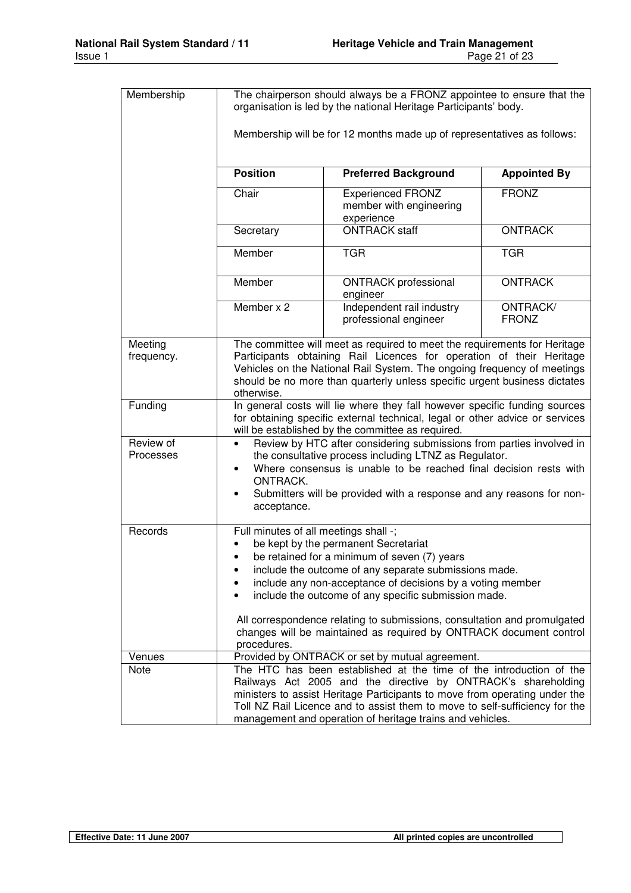| Membership             | The chairperson should always be a FRONZ appointee to ensure that the<br>organisation is led by the national Heritage Participants' body.                                                                                                                                                                                                                                                                                                                                     |                                                                   |                          |  |  |
|------------------------|-------------------------------------------------------------------------------------------------------------------------------------------------------------------------------------------------------------------------------------------------------------------------------------------------------------------------------------------------------------------------------------------------------------------------------------------------------------------------------|-------------------------------------------------------------------|--------------------------|--|--|
|                        | Membership will be for 12 months made up of representatives as follows:                                                                                                                                                                                                                                                                                                                                                                                                       |                                                                   |                          |  |  |
|                        | <b>Position</b><br><b>Appointed By</b><br><b>Preferred Background</b>                                                                                                                                                                                                                                                                                                                                                                                                         |                                                                   |                          |  |  |
|                        | Chair                                                                                                                                                                                                                                                                                                                                                                                                                                                                         | <b>Experienced FRONZ</b><br>member with engineering<br>experience | <b>FRONZ</b>             |  |  |
|                        | Secretary                                                                                                                                                                                                                                                                                                                                                                                                                                                                     | <b>ONTRACK staff</b>                                              | <b>ONTRACK</b>           |  |  |
|                        | Member                                                                                                                                                                                                                                                                                                                                                                                                                                                                        | <b>TGR</b>                                                        | <b>TGR</b>               |  |  |
|                        | Member                                                                                                                                                                                                                                                                                                                                                                                                                                                                        | <b>ONTRACK</b> professional<br>engineer                           | <b>ONTRACK</b>           |  |  |
|                        | Member x 2                                                                                                                                                                                                                                                                                                                                                                                                                                                                    | Independent rail industry<br>professional engineer                | ONTRACK/<br><b>FRONZ</b> |  |  |
| Meeting<br>frequency.  | The committee will meet as required to meet the requirements for Heritage<br>Participants obtaining Rail Licences for operation of their Heritage<br>Vehicles on the National Rail System. The ongoing frequency of meetings<br>should be no more than quarterly unless specific urgent business dictates<br>otherwise.                                                                                                                                                       |                                                                   |                          |  |  |
| Funding                | In general costs will lie where they fall however specific funding sources<br>for obtaining specific external technical, legal or other advice or services<br>will be established by the committee as required.                                                                                                                                                                                                                                                               |                                                                   |                          |  |  |
| Review of<br>Processes | Review by HTC after considering submissions from parties involved in<br>$\bullet$<br>the consultative process including LTNZ as Regulator.<br>Where consensus is unable to be reached final decision rests with<br>$\bullet$<br>ONTRACK.<br>Submitters will be provided with a response and any reasons for non-<br>٠<br>acceptance.                                                                                                                                          |                                                                   |                          |  |  |
| Records                | Full minutes of all meetings shall -;<br>be kept by the permanent Secretariat<br>be retained for a minimum of seven (7) years<br>include the outcome of any separate submissions made.<br>include any non-acceptance of decisions by a voting member<br>include the outcome of any specific submission made.<br>All correspondence relating to submissions, consultation and promulgated<br>changes will be maintained as required by ONTRACK document control<br>procedures. |                                                                   |                          |  |  |
| Venues                 |                                                                                                                                                                                                                                                                                                                                                                                                                                                                               | Provided by ONTRACK or set by mutual agreement.                   |                          |  |  |
| Note                   | The HTC has been established at the time of the introduction of the<br>Railways Act 2005 and the directive by ONTRACK's shareholding<br>ministers to assist Heritage Participants to move from operating under the<br>Toll NZ Rail Licence and to assist them to move to self-sufficiency for the<br>management and operation of heritage trains and vehicles.                                                                                                                |                                                                   |                          |  |  |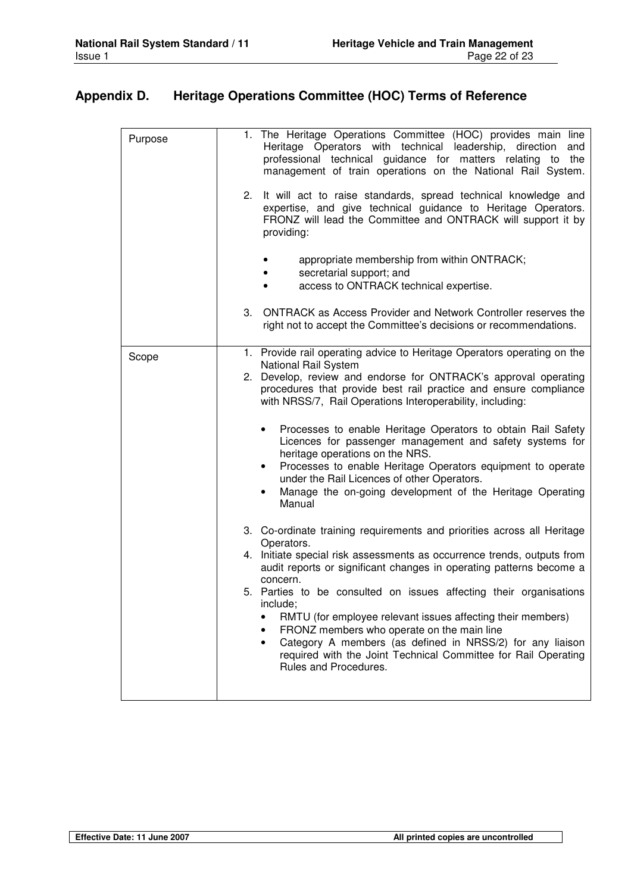## **Appendix D. Heritage Operations Committee (HOC) Terms of Reference**

| Purpose | 1. The Heritage Operations Committee (HOC) provides main line<br>Heritage Operators with technical leadership, direction<br>and<br>professional technical guidance for matters relating to the<br>management of train operations on the National Rail System.                                                                                                                                                                                                                                                                                                                                                                                                                     |
|---------|-----------------------------------------------------------------------------------------------------------------------------------------------------------------------------------------------------------------------------------------------------------------------------------------------------------------------------------------------------------------------------------------------------------------------------------------------------------------------------------------------------------------------------------------------------------------------------------------------------------------------------------------------------------------------------------|
|         | 2. It will act to raise standards, spread technical knowledge and<br>expertise, and give technical guidance to Heritage Operators.<br>FRONZ will lead the Committee and ONTRACK will support it by<br>providing:                                                                                                                                                                                                                                                                                                                                                                                                                                                                  |
|         | appropriate membership from within ONTRACK;<br>secretarial support; and<br>access to ONTRACK technical expertise.                                                                                                                                                                                                                                                                                                                                                                                                                                                                                                                                                                 |
|         | <b>ONTRACK as Access Provider and Network Controller reserves the</b><br>3.<br>right not to accept the Committee's decisions or recommendations.                                                                                                                                                                                                                                                                                                                                                                                                                                                                                                                                  |
| Scope   | 1. Provide rail operating advice to Heritage Operators operating on the<br>National Rail System<br>2. Develop, review and endorse for ONTRACK's approval operating<br>procedures that provide best rail practice and ensure compliance<br>with NRSS/7, Rail Operations Interoperability, including:<br>Processes to enable Heritage Operators to obtain Rail Safety<br>$\bullet$<br>Licences for passenger management and safety systems for<br>heritage operations on the NRS.<br>Processes to enable Heritage Operators equipment to operate<br>under the Rail Licences of other Operators.<br>Manage the on-going development of the Heritage Operating<br>$\bullet$<br>Manual |
|         | 3. Co-ordinate training requirements and priorities across all Heritage<br>Operators.<br>4. Initiate special risk assessments as occurrence trends, outputs from<br>audit reports or significant changes in operating patterns become a<br>concern.<br>5. Parties to be consulted on issues affecting their organisations<br>include;<br>RMTU (for employee relevant issues affecting their members)<br>FRONZ members who operate on the main line<br>Category A members (as defined in NRSS/2) for any liaison<br>required with the Joint Technical Committee for Rail Operating<br>Rules and Procedures.                                                                        |